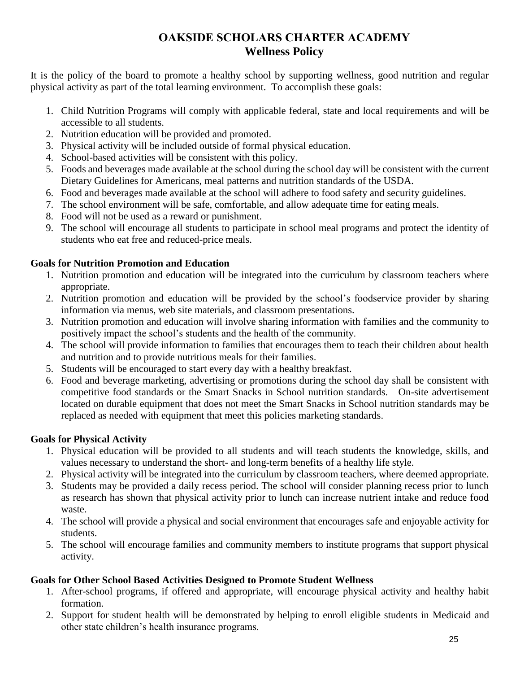# **OAKSIDE SCHOLARS CHARTER ACADEMY Wellness Policy**

It is the policy of the board to promote a healthy school by supporting wellness, good nutrition and regular physical activity as part of the total learning environment. To accomplish these goals:

- 1. Child Nutrition Programs will comply with applicable federal, state and local requirements and will be accessible to all students.
- 2. Nutrition education will be provided and promoted.
- 3. Physical activity will be included outside of formal physical education.
- 4. School-based activities will be consistent with this policy.
- 5. Foods and beverages made available at the school during the school day will be consistent with the current Dietary Guidelines for Americans, meal patterns and nutrition standards of the USDA.
- 6. Food and beverages made available at the school will adhere to food safety and security guidelines.
- 7. The school environment will be safe, comfortable, and allow adequate time for eating meals.
- 8. Food will not be used as a reward or punishment.
- 9. The school will encourage all students to participate in school meal programs and protect the identity of students who eat free and reduced-price meals.

### **Goals for Nutrition Promotion and Education**

- 1. Nutrition promotion and education will be integrated into the curriculum by classroom teachers where appropriate.
- 2. Nutrition promotion and education will be provided by the school's foodservice provider by sharing information via menus, web site materials, and classroom presentations.
- 3. Nutrition promotion and education will involve sharing information with families and the community to positively impact the school's students and the health of the community.
- 4. The school will provide information to families that encourages them to teach their children about health and nutrition and to provide nutritious meals for their families.
- 5. Students will be encouraged to start every day with a healthy breakfast.
- 6. Food and beverage marketing, advertising or promotions during the school day shall be consistent with competitive food standards or the Smart Snacks in School nutrition standards. On-site advertisement located on durable equipment that does not meet the Smart Snacks in School nutrition standards may be replaced as needed with equipment that meet this policies marketing standards.

## **Goals for Physical Activity**

- 1. Physical education will be provided to all students and will teach students the knowledge, skills, and values necessary to understand the short- and long-term benefits of a healthy life style.
- 2. Physical activity will be integrated into the curriculum by classroom teachers, where deemed appropriate.
- 3. Students may be provided a daily recess period. The school will consider planning recess prior to lunch as research has shown that physical activity prior to lunch can increase nutrient intake and reduce food waste.
- 4. The school will provide a physical and social environment that encourages safe and enjoyable activity for students.
- 5. The school will encourage families and community members to institute programs that support physical activity.

## **Goals for Other School Based Activities Designed to Promote Student Wellness**

- 1. After-school programs, if offered and appropriate, will encourage physical activity and healthy habit formation.
- 2. Support for student health will be demonstrated by helping to enroll eligible students in Medicaid and other state children's health insurance programs.